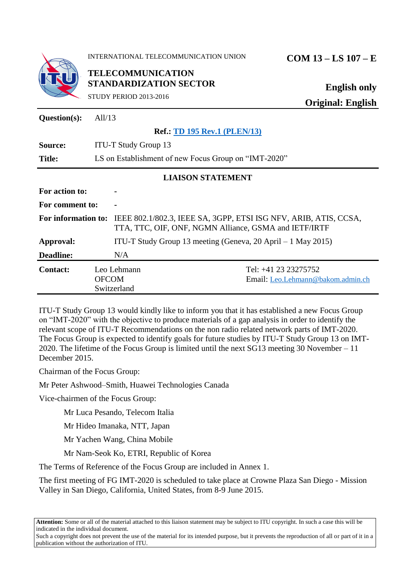

INTERNATIONAL TELECOMMUNICATION UNION **COM 13 – LS 107 – E**

**TELECOMMUNICATION STANDARDIZATION SECTOR**

STUDY PERIOD 2013-2016

**English only Original: English**

| Question(s):             | All/ $13$                                            |                                                                                                                           |                                                           |
|--------------------------|------------------------------------------------------|---------------------------------------------------------------------------------------------------------------------------|-----------------------------------------------------------|
|                          |                                                      | <b>Ref.: TD 195 Rev.1 (PLEN/13)</b>                                                                                       |                                                           |
| Source:                  | <b>ITU-T Study Group 13</b>                          |                                                                                                                           |                                                           |
| <b>Title:</b>            | LS on Establishment of new Focus Group on "IMT-2020" |                                                                                                                           |                                                           |
| <b>LIAISON STATEMENT</b> |                                                      |                                                                                                                           |                                                           |
| For action to:           |                                                      |                                                                                                                           |                                                           |
| For comment to:          |                                                      |                                                                                                                           |                                                           |
| For information to:      |                                                      | IEEE 802.1/802.3, IEEE SA, 3GPP, ETSI ISG NFV, ARIB, ATIS, CCSA,<br>TTA, TTC, OIF, ONF, NGMN Alliance, GSMA and IETF/IRTF |                                                           |
| Approval:                |                                                      | ITU-T Study Group 13 meeting (Geneva, 20 April $-1$ May 2015)                                                             |                                                           |
| <b>Deadline:</b>         |                                                      | N/A                                                                                                                       |                                                           |
| <b>Contact:</b>          | <b>OFCOM</b>                                         | Leo Lehmann<br>Switzerland                                                                                                | Tel: +41 23 23275752<br>Email: Leo.Lehmann@bakom.admin.ch |

ITU-T Study Group 13 would kindly like to inform you that it has established a new Focus Group on "IMT-2020" with the objective to produce materials of a gap analysis in order to identify the relevant scope of ITU-T Recommendations on the non radio related network parts of IMT-2020. The Focus Group is expected to identify goals for future studies by ITU-T Study Group 13 on IMT-2020. The lifetime of the Focus Group is limited until the next SG13 meeting 30 November – 11 December 2015.

Chairman of the Focus Group:

Mr Peter Ashwood–Smith, Huawei Technologies Canada

Vice-chairmen of the Focus Group:

Mr Luca Pesando, Telecom Italia

Mr Hideo Imanaka, NTT, Japan

Mr Yachen Wang, China Mobile

Mr Nam-Seok Ko, ETRI, Republic of Korea

The Terms of Reference of the Focus Group are included in Annex 1.

The first meeting of FG IMT-2020 is scheduled to take place at Crowne Plaza San Diego - Mission Valley in San Diego, California, United States, from 8-9 June 2015.

**Attention:** Some or all of the material attached to this liaison statement may be subject to ITU copyright. In such a case this will be indicated in the individual document.

Such a copyright does not prevent the use of the material for its intended purpose, but it prevents the reproduction of all or part of it in a publication without the authorization of ITU.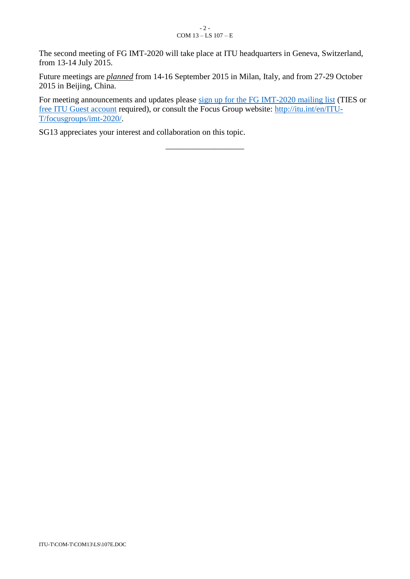#### - 2 - COM  $13 - LS$  107 – E

The second meeting of FG IMT-2020 will take place at ITU headquarters in Geneva, Switzerland, from 13-14 July 2015.

Future meetings are *planned* from 14-16 September 2015 in Milan, Italy, and from 27-29 October 2015 in Beijing, China.

For meeting announcements and updates please [sign up for the FG IMT-2020 mailing list](https://www.itu.int/net4/iwm/?p0=0&p11=ITU&p12=ITU-SEP-ITU-T-SEP-Other%20Groups-SEP-fgimt-2020&p21=ITU&p22=ITU-SEP-ITU-T-SEP-Other%20Groups) (TIES or [free ITU Guest account](https://www.itu.int/net/iwm/public/frmUserRegistration.aspx) required), or consult the Focus Group website: [http://itu.int/en/ITU-](http://itu.int/en/ITU-T/focusgroups/imt-2020/)[T/focusgroups/imt-2020/.](http://itu.int/en/ITU-T/focusgroups/imt-2020/)

\_\_\_\_\_\_\_\_\_\_\_\_\_\_\_\_\_\_\_

SG13 appreciates your interest and collaboration on this topic.

ITU-T\COM-T\COM13\LS\107E.DOC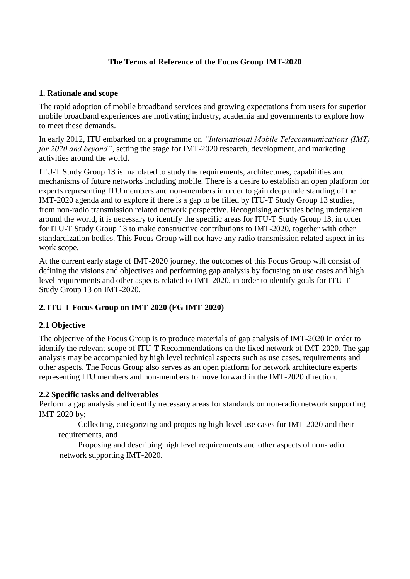# **The Terms of Reference of the Focus Group IMT-2020**

#### **1. Rationale and scope**

The rapid adoption of mobile broadband services and growing expectations from users for superior mobile broadband experiences are motivating industry, academia and governments to explore how to meet these demands.

In early 2012, ITU embarked on a programme on *"International Mobile Telecommunications (IMT) for 2020 and beyond"*, setting the stage for IMT-2020 research, development, and marketing activities around the world.

ITU-T Study Group 13 is mandated to study the requirements, architectures, capabilities and mechanisms of future networks including mobile. There is a desire to establish an open platform for experts representing ITU members and non-members in order to gain deep understanding of the IMT-2020 agenda and to explore if there is a gap to be filled by ITU-T Study Group 13 studies, from non-radio transmission related network perspective. Recognising activities being undertaken around the world, it is necessary to identify the specific areas for ITU-T Study Group 13, in order for ITU-T Study Group 13 to make constructive contributions to IMT-2020, together with other standardization bodies. This Focus Group will not have any radio transmission related aspect in its work scope.

At the current early stage of IMT-2020 journey, the outcomes of this Focus Group will consist of defining the visions and objectives and performing gap analysis by focusing on use cases and high level requirements and other aspects related to IMT-2020, in order to identify goals for ITU-T Study Group 13 on IMT-2020.

## **2. ITU-T Focus Group on IMT-2020 (FG IMT-2020)**

## **2.1 Objective**

The objective of the Focus Group is to produce materials of gap analysis of IMT-2020 in order to identify the relevant scope of ITU-T Recommendations on the fixed network of IMT-2020. The gap analysis may be accompanied by high level technical aspects such as use cases, requirements and other aspects. The Focus Group also serves as an open platform for network architecture experts representing ITU members and non-members to move forward in the IMT-2020 direction.

## **2.2 Specific tasks and deliverables**

Perform a gap analysis and identify necessary areas for standards on non-radio network supporting IMT-2020 by;

Collecting, categorizing and proposing high-level use cases for IMT-2020 and their requirements, and

Proposing and describing high level requirements and other aspects of non-radio network supporting IMT-2020.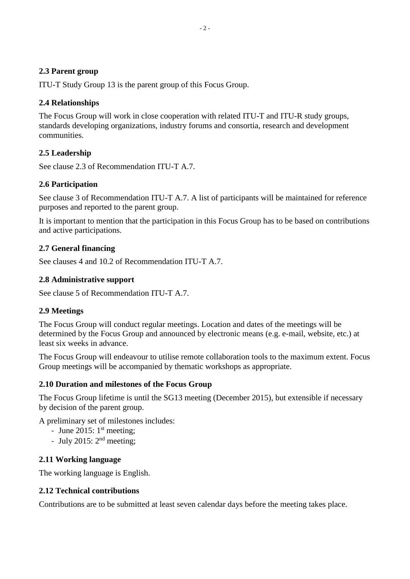#### **2.3 Parent group**

ITU-T Study Group 13 is the parent group of this Focus Group.

## **2.4 Relationships**

The Focus Group will work in close cooperation with related ITU-T and ITU-R study groups, standards developing organizations, industry forums and consortia, research and development communities.

# **2.5 Leadership**

See clause 2.3 of Recommendation ITU-T A.7.

# **2.6 Participation**

See clause 3 of Recommendation ITU-T A.7. A list of participants will be maintained for reference purposes and reported to the parent group.

It is important to mention that the participation in this Focus Group has to be based on contributions and active participations.

# **2.7 General financing**

See clauses 4 and 10.2 of Recommendation ITU-T A.7.

# **2.8 Administrative support**

See clause 5 of Recommendation ITU-T A.7.

## **2.9 Meetings**

The Focus Group will conduct regular meetings. Location and dates of the meetings will be determined by the Focus Group and announced by electronic means (e.g. e-mail, website, etc.) at least six weeks in advance.

The Focus Group will endeavour to utilise remote collaboration tools to the maximum extent. Focus Group meetings will be accompanied by thematic workshops as appropriate.

## **2.10 Duration and milestones of the Focus Group**

The Focus Group lifetime is until the SG13 meeting (December 2015), but extensible if necessary by decision of the parent group.

A preliminary set of milestones includes:

- June 2015:  $1<sup>st</sup> meeting;$
- July 2015:  $2<sup>nd</sup>$  meeting;

## **2.11 Working language**

The working language is English.

## **2.12 Technical contributions**

Contributions are to be submitted at least seven calendar days before the meeting takes place.